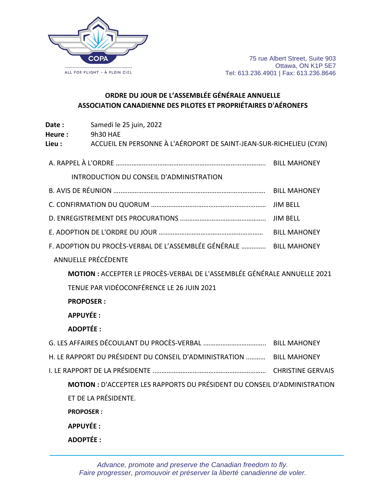

## **ORDRE DU JOUR DE L'ASSEMBLÉE GÉNÉRALE ANNUELLE ASSOCIATION CANADIENNE DES PILOTES ET PROPRIÉTAIRES D'AÉRONEFS**

| Date:<br>Heure : | Samedi le 25 juin, 2022<br>9h30 HAE                                             |  |
|------------------|---------------------------------------------------------------------------------|--|
| Lieu :           | ACCUEIL EN PERSONNE À L'AÉROPORT DE SAINT-JEAN-SUR-RICHELIEU (CYJN)             |  |
|                  |                                                                                 |  |
|                  | INTRODUCTION DU CONSEIL D'ADMINISTRATION                                        |  |
|                  |                                                                                 |  |
|                  |                                                                                 |  |
|                  |                                                                                 |  |
|                  |                                                                                 |  |
|                  | F. ADOPTION DU PROCÈS-VERBAL DE L'ASSEMBLÉE GÉNÉRALE  BILL MAHONEY              |  |
|                  | <b>ANNUELLE PRÉCÉDENTE</b>                                                      |  |
|                  | <b>MOTION: ACCEPTER LE PROCÈS-VERBAL DE L'ASSEMBLÉE GÉNÉRALE ANNUELLE 2021</b>  |  |
|                  | TENUE PAR VIDÉOCONFÉRENCE LE 26 JUIN 2021                                       |  |
|                  | <b>PROPOSER:</b>                                                                |  |
| <b>APPUYÉE:</b>  |                                                                                 |  |
| <b>ADOPTÉE:</b>  |                                                                                 |  |
|                  |                                                                                 |  |
|                  | H. LE RAPPORT DU PRÉSIDENT DU CONSEIL D'ADMINISTRATION  BILL MAHONEY            |  |
|                  |                                                                                 |  |
|                  | <b>MOTION: D'ACCEPTER LES RAPPORTS DU PRÉSIDENT DU CONSEIL D'ADMINISTRATION</b> |  |
|                  | ET DE LA PRÉSIDENTE.                                                            |  |
| <b>PROPOSER:</b> |                                                                                 |  |
| <b>APPUYÉE:</b>  |                                                                                 |  |
| <b>ADOPTÉE:</b>  |                                                                                 |  |

*Advance, promote and preserve the Canadian freedom to fly. Faire progresser, promouvoir et préserver la liberté canadienne de voler.*